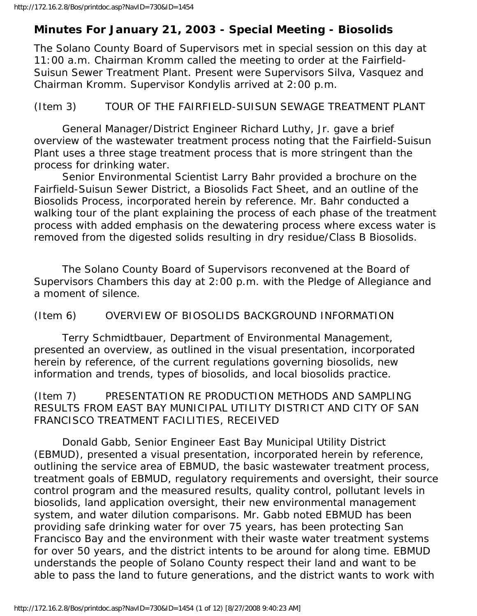# **Minutes For January 21, 2003 - Special Meeting - Biosolids**

The Solano County Board of Supervisors met in special session on this day at 11:00 a.m. Chairman Kromm called the meeting to order at the Fairfield-Suisun Sewer Treatment Plant. Present were Supervisors Silva, Vasquez and Chairman Kromm. Supervisor Kondylis arrived at 2:00 p.m.

### (Item 3) TOUR OF THE FAIRFIELD-SUISUN SEWAGE TREATMENT PLANT

 General Manager/District Engineer Richard Luthy, Jr. gave a brief overview of the wastewater treatment process noting that the Fairfield-Suisun Plant uses a three stage treatment process that is more stringent than the process for drinking water.

 Senior Environmental Scientist Larry Bahr provided a brochure on the Fairfield-Suisun Sewer District, a Biosolids Fact Sheet, and an outline of the Biosolids Process, incorporated herein by reference. Mr. Bahr conducted a walking tour of the plant explaining the process of each phase of the treatment process with added emphasis on the dewatering process where excess water is removed from the digested solids resulting in dry residue/Class B Biosolids.

 The Solano County Board of Supervisors reconvened at the Board of Supervisors Chambers this day at 2:00 p.m. with the Pledge of Allegiance and a moment of silence.

#### (Item 6) OVERVIEW OF BIOSOLIDS BACKGROUND INFORMATION

 Terry Schmidtbauer, Department of Environmental Management, presented an overview, as outlined in the visual presentation, incorporated herein by reference, of the current regulations governing biosolids, new information and trends, types of biosolids, and local biosolids practice.

## (Item 7) PRESENTATION RE PRODUCTION METHODS AND SAMPLING RESULTS FROM EAST BAY MUNICIPAL UTILITY DISTRICT AND CITY OF SAN FRANCISCO TREATMENT FACILITIES, RECEIVED

 Donald Gabb, Senior Engineer East Bay Municipal Utility District (EBMUD), presented a visual presentation, incorporated herein by reference, outlining the service area of EBMUD, the basic wastewater treatment process, treatment goals of EBMUD, regulatory requirements and oversight, their source control program and the measured results, quality control, pollutant levels in biosolids, land application oversight, their new environmental management system, and water dilution comparisons. Mr. Gabb noted EBMUD has been providing safe drinking water for over 75 years, has been protecting San Francisco Bay and the environment with their waste water treatment systems for over 50 years, and the district intents to be around for along time. EBMUD understands the people of Solano County respect their land and want to be able to pass the land to future generations, and the district wants to work with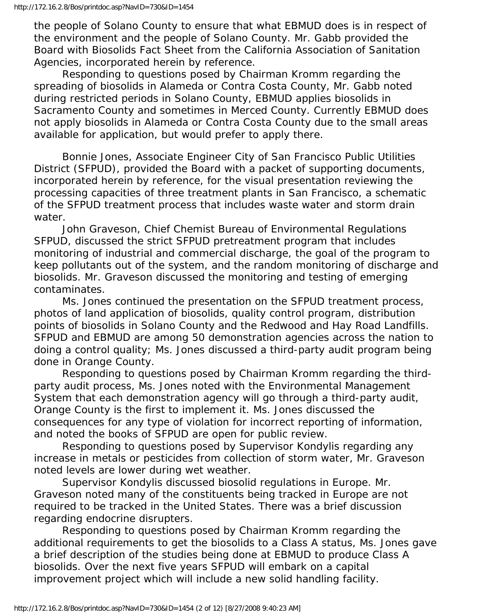the people of Solano County to ensure that what EBMUD does is in respect of the environment and the people of Solano County. Mr. Gabb provided the Board with Biosolids Fact Sheet from the California Association of Sanitation Agencies, incorporated herein by reference.

 Responding to questions posed by Chairman Kromm regarding the spreading of biosolids in Alameda or Contra Costa County, Mr. Gabb noted during restricted periods in Solano County, EBMUD applies biosolids in Sacramento County and sometimes in Merced County. Currently EBMUD does not apply biosolids in Alameda or Contra Costa County due to the small areas available for application, but would prefer to apply there.

 Bonnie Jones, Associate Engineer City of San Francisco Public Utilities District (SFPUD), provided the Board with a packet of supporting documents, incorporated herein by reference, for the visual presentation reviewing the processing capacities of three treatment plants in San Francisco, a schematic of the SFPUD treatment process that includes waste water and storm drain water.

 John Graveson, Chief Chemist Bureau of Environmental Regulations SFPUD, discussed the strict SFPUD pretreatment program that includes monitoring of industrial and commercial discharge, the goal of the program to keep pollutants out of the system, and the random monitoring of discharge and biosolids. Mr. Graveson discussed the monitoring and testing of emerging contaminates.

 Ms. Jones continued the presentation on the SFPUD treatment process, photos of land application of biosolids, quality control program, distribution points of biosolids in Solano County and the Redwood and Hay Road Landfills. SFPUD and EBMUD are among 50 demonstration agencies across the nation to doing a control quality; Ms. Jones discussed a third-party audit program being done in Orange County.

 Responding to questions posed by Chairman Kromm regarding the thirdparty audit process, Ms. Jones noted with the Environmental Management System that each demonstration agency will go through a third-party audit, Orange County is the first to implement it. Ms. Jones discussed the consequences for any type of violation for incorrect reporting of information, and noted the books of SFPUD are open for public review.

 Responding to questions posed by Supervisor Kondylis regarding any increase in metals or pesticides from collection of storm water, Mr. Graveson noted levels are lower during wet weather.

 Supervisor Kondylis discussed biosolid regulations in Europe. Mr. Graveson noted many of the constituents being tracked in Europe are not required to be tracked in the United States. There was a brief discussion regarding endocrine disrupters.

 Responding to questions posed by Chairman Kromm regarding the additional requirements to get the biosolids to a Class A status, Ms. Jones gave a brief description of the studies being done at EBMUD to produce Class A biosolids. Over the next five years SFPUD will embark on a capital improvement project which will include a new solid handling facility.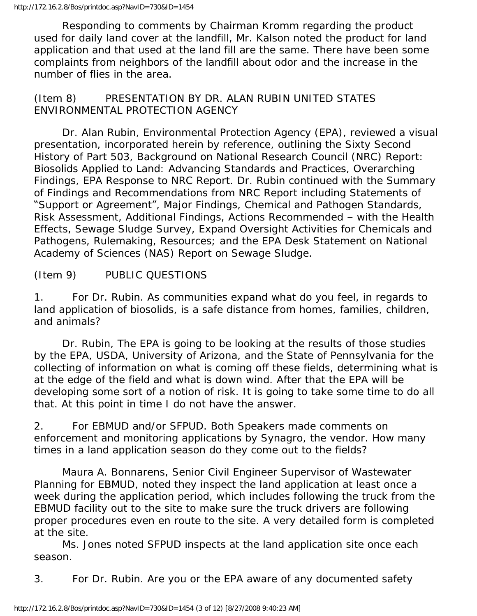Responding to comments by Chairman Kromm regarding the product used for daily land cover at the landfill, Mr. Kalson noted the product for land application and that used at the land fill are the same. There have been some complaints from neighbors of the landfill about odor and the increase in the number of flies in the area.

## (Item 8) PRESENTATION BY DR. ALAN RUBIN UNITED STATES ENVIRONMENTAL PROTECTION AGENCY

 Dr. Alan Rubin, Environmental Protection Agency (EPA), reviewed a visual presentation, incorporated herein by reference, outlining the Sixty Second History of Part 503, Background on National Research Council (NRC) Report: Biosolids Applied to Land: Advancing Standards and Practices, Overarching Findings, EPA Response to NRC Report. Dr. Rubin continued with the Summary of Findings and Recommendations from NRC Report including Statements of "Support or Agreement", Major Findings, Chemical and Pathogen Standards, Risk Assessment, Additional Findings, Actions Recommended – with the Health Effects, Sewage Sludge Survey, Expand Oversight Activities for Chemicals and Pathogens, Rulemaking, Resources; and the EPA Desk Statement on National Academy of Sciences (NAS) Report on Sewage Sludge.

## (Item 9) PUBLIC QUESTIONS

1. For Dr. Rubin. As communities expand what do you feel, in regards to land application of biosolids, is a safe distance from homes, families, children, and animals?

 Dr. Rubin, The EPA is going to be looking at the results of those studies by the EPA, USDA, University of Arizona, and the State of Pennsylvania for the collecting of information on what is coming off these fields, determining what is at the edge of the field and what is down wind. After that the EPA will be developing some sort of a notion of risk. It is going to take some time to do all that. At this point in time I do not have the answer.

2. For EBMUD and/or SFPUD. Both Speakers made comments on enforcement and monitoring applications by Synagro, the vendor. How many times in a land application season do they come out to the fields?

 Maura A. Bonnarens, Senior Civil Engineer Supervisor of Wastewater Planning for EBMUD, noted they inspect the land application at least once a week during the application period, which includes following the truck from the EBMUD facility out to the site to make sure the truck drivers are following proper procedures even en route to the site. A very detailed form is completed at the site.

 Ms. Jones noted SFPUD inspects at the land application site once each season.

3. For Dr. Rubin. Are you or the EPA aware of any documented safety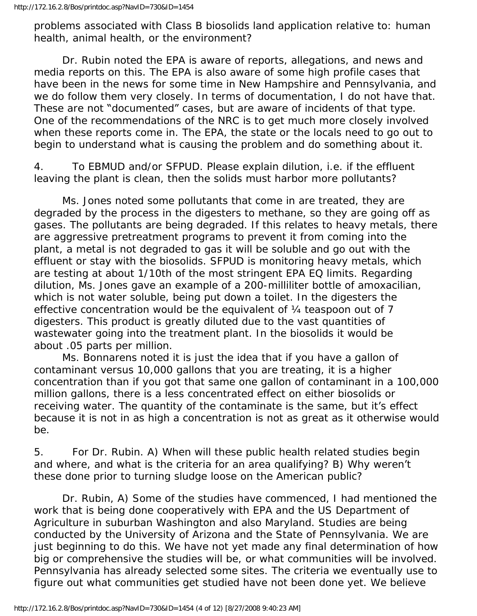problems associated with Class B biosolids land application relative to: human health, animal health, or the environment?

 Dr. Rubin noted the EPA is aware of reports, allegations, and news and media reports on this. The EPA is also aware of some high profile cases that have been in the news for some time in New Hampshire and Pennsylvania, and we do follow them very closely. In terms of documentation, I do not have that. These are not "documented" cases, but are aware of incidents of that type. One of the recommendations of the NRC is to get much more closely involved when these reports come in. The EPA, the state or the locals need to go out to begin to understand what is causing the problem and do something about it.

4. To EBMUD and/or SFPUD. Please explain dilution, i.e. if the effluent leaving the plant is clean, then the solids must harbor more pollutants?

 Ms. Jones noted some pollutants that come in are treated, they are degraded by the process in the digesters to methane, so they are going off as gases. The pollutants are being degraded. If this relates to heavy metals, there are aggressive pretreatment programs to prevent it from coming into the plant, a metal is not degraded to gas it will be soluble and go out with the effluent or stay with the biosolids. SFPUD is monitoring heavy metals, which are testing at about 1/10th of the most stringent EPA EQ limits. Regarding dilution, Ms. Jones gave an example of a 200-milliliter bottle of amoxacilian, which is not water soluble, being put down a toilet. In the digesters the effective concentration would be the equivalent of ¼ teaspoon out of 7 digesters. This product is greatly diluted due to the vast quantities of wastewater going into the treatment plant. In the biosolids it would be about .05 parts per million.

 Ms. Bonnarens noted it is just the idea that if you have a gallon of contaminant versus 10,000 gallons that you are treating, it is a higher concentration than if you got that same one gallon of contaminant in a 100,000 million gallons, there is a less concentrated effect on either biosolids or receiving water. The quantity of the contaminate is the same, but it's effect because it is not in as high a concentration is not as great as it otherwise would be.

5. For Dr. Rubin. A) When will these public health related studies begin and where, and what is the criteria for an area qualifying? B) Why weren't these done prior to turning sludge loose on the American public?

 Dr. Rubin, A) Some of the studies have commenced, I had mentioned the work that is being done cooperatively with EPA and the US Department of Agriculture in suburban Washington and also Maryland. Studies are being conducted by the University of Arizona and the State of Pennsylvania. We are just beginning to do this. We have not yet made any final determination of how big or comprehensive the studies will be, or what communities will be involved. Pennsylvania has already selected some sites. The criteria we eventually use to figure out what communities get studied have not been done yet. We believe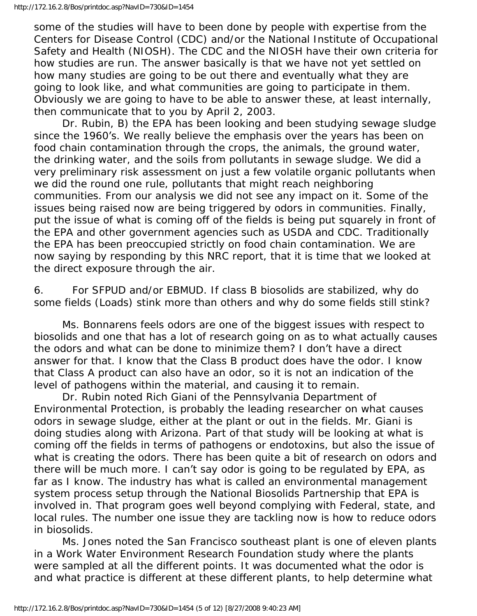some of the studies will have to been done by people with expertise from the Centers for Disease Control (CDC) and/or the National Institute of Occupational Safety and Health (NIOSH). The CDC and the NIOSH have their own criteria for how studies are run. The answer basically is that we have not yet settled on how many studies are going to be out there and eventually what they are going to look like, and what communities are going to participate in them. Obviously we are going to have to be able to answer these, at least internally, then communicate that to you by April 2, 2003.

 Dr. Rubin, B) the EPA has been looking and been studying sewage sludge since the 1960's. We really believe the emphasis over the years has been on food chain contamination through the crops, the animals, the ground water, the drinking water, and the soils from pollutants in sewage sludge. We did a very preliminary risk assessment on just a few volatile organic pollutants when we did the round one rule, pollutants that might reach neighboring communities. From our analysis we did not see any impact on it. Some of the issues being raised now are being triggered by odors in communities. Finally, put the issue of what is coming off of the fields is being put squarely in front of the EPA and other government agencies such as USDA and CDC. Traditionally the EPA has been preoccupied strictly on food chain contamination. We are now saying by responding by this NRC report, that it is time that we looked at the direct exposure through the air.

6. For SFPUD and/or EBMUD. If class B biosolids are stabilized, why do some fields (Loads) stink more than others and why do some fields still stink?

 Ms. Bonnarens feels odors are one of the biggest issues with respect to biosolids and one that has a lot of research going on as to what actually causes the odors and what can be done to minimize them? I don't have a direct answer for that. I know that the Class B product does have the odor. I know that Class A product can also have an odor, so it is not an indication of the level of pathogens within the material, and causing it to remain.

 Dr. Rubin noted Rich Giani of the Pennsylvania Department of Environmental Protection, is probably the leading researcher on what causes odors in sewage sludge, either at the plant or out in the fields. Mr. Giani is doing studies along with Arizona. Part of that study will be looking at what is coming off the fields in terms of pathogens or endotoxins, but also the issue of what is creating the odors. There has been quite a bit of research on odors and there will be much more. I can't say odor is going to be regulated by EPA, as far as I know. The industry has what is called an environmental management system process setup through the National Biosolids Partnership that EPA is involved in. That program goes well beyond complying with Federal, state, and local rules. The number one issue they are tackling now is how to reduce odors in biosolids.

 Ms. Jones noted the San Francisco southeast plant is one of eleven plants in a Work Water Environment Research Foundation study where the plants were sampled at all the different points. It was documented what the odor is and what practice is different at these different plants, to help determine what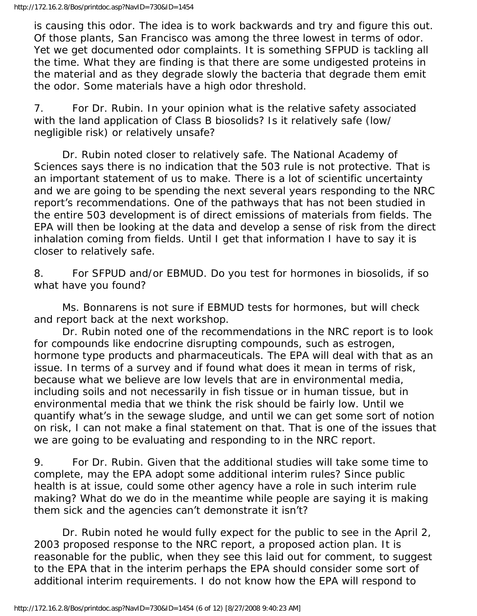is causing this odor. The idea is to work backwards and try and figure this out. Of those plants, San Francisco was among the three lowest in terms of odor. Yet we get documented odor complaints. It is something SFPUD is tackling all the time. What they are finding is that there are some undigested proteins in the material and as they degrade slowly the bacteria that degrade them emit the odor. Some materials have a high odor threshold.

7. For Dr. Rubin. In your opinion what is the relative safety associated with the land application of Class B biosolids? Is it relatively safe (low/ negligible risk) or relatively unsafe?

 Dr. Rubin noted closer to relatively safe. The National Academy of Sciences says there is no indication that the 503 rule is not protective. That is an important statement of us to make. There is a lot of scientific uncertainty and we are going to be spending the next several years responding to the NRC report's recommendations. One of the pathways that has not been studied in the entire 503 development is of direct emissions of materials from fields. The EPA will then be looking at the data and develop a sense of risk from the direct inhalation coming from fields. Until I get that information I have to say it is closer to relatively safe.

8. For SFPUD and/or EBMUD. Do you test for hormones in biosolids, if so what have you found?

 Ms. Bonnarens is not sure if EBMUD tests for hormones, but will check and report back at the next workshop.

 Dr. Rubin noted one of the recommendations in the NRC report is to look for compounds like endocrine disrupting compounds, such as estrogen, hormone type products and pharmaceuticals. The EPA will deal with that as an issue. In terms of a survey and if found what does it mean in terms of risk, because what we believe are low levels that are in environmental media, including soils and not necessarily in fish tissue or in human tissue, but in environmental media that we think the risk should be fairly low. Until we quantify what's in the sewage sludge, and until we can get some sort of notion on risk, I can not make a final statement on that. That is one of the issues that we are going to be evaluating and responding to in the NRC report.

9. For Dr. Rubin. Given that the additional studies will take some time to complete, may the EPA adopt some additional interim rules? Since public health is at issue, could some other agency have a role in such interim rule making? What do we do in the meantime while people are saying it is making them sick and the agencies can't demonstrate it isn't?

 Dr. Rubin noted he would fully expect for the public to see in the April 2, 2003 proposed response to the NRC report, a proposed action plan. It is reasonable for the public, when they see this laid out for comment, to suggest to the EPA that in the interim perhaps the EPA should consider some sort of additional interim requirements. I do not know how the EPA will respond to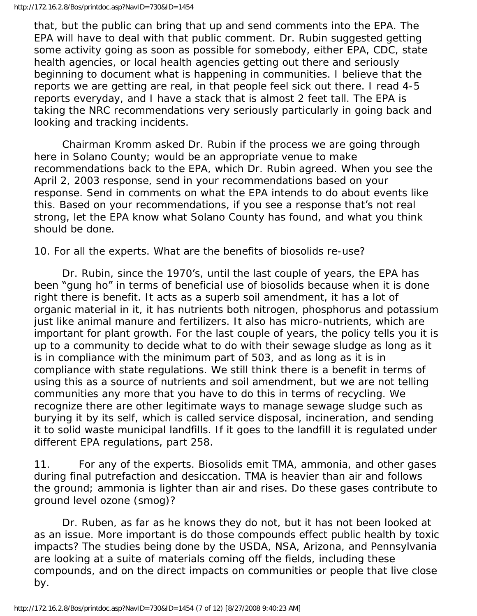that, but the public can bring that up and send comments into the EPA. The EPA will have to deal with that public comment. Dr. Rubin suggested getting some activity going as soon as possible for somebody, either EPA, CDC, state health agencies, or local health agencies getting out there and seriously beginning to document what is happening in communities. I believe that the reports we are getting are real, in that people feel sick out there. I read 4-5 reports everyday, and I have a stack that is almost 2 feet tall. The EPA is taking the NRC recommendations very seriously particularly in going back and looking and tracking incidents.

 Chairman Kromm asked Dr. Rubin if the process we are going through here in Solano County; would be an appropriate venue to make recommendations back to the EPA, which Dr. Rubin agreed. When you see the April 2, 2003 response, send in your recommendations based on your response. Send in comments on what the EPA intends to do about events like this. Based on your recommendations, if you see a response that's not real strong, let the EPA know what Solano County has found, and what you think should be done.

10. For all the experts. What are the benefits of biosolids re-use?

 Dr. Rubin, since the 1970's, until the last couple of years, the EPA has been "gung ho" in terms of beneficial use of biosolids because when it is done right there is benefit. It acts as a superb soil amendment, it has a lot of organic material in it, it has nutrients both nitrogen, phosphorus and potassium just like animal manure and fertilizers. It also has micro-nutrients, which are important for plant growth. For the last couple of years, the policy tells you it is up to a community to decide what to do with their sewage sludge as long as it is in compliance with the minimum part of 503, and as long as it is in compliance with state regulations. We still think there is a benefit in terms of using this as a source of nutrients and soil amendment, but we are not telling communities any more that you have to do this in terms of recycling. We recognize there are other legitimate ways to manage sewage sludge such as burying it by its self, which is called service disposal, incineration, and sending it to solid waste municipal landfills. If it goes to the landfill it is regulated under different EPA regulations, part 258.

11. For any of the experts. Biosolids emit TMA, ammonia, and other gases during final putrefaction and desiccation. TMA is heavier than air and follows the ground; ammonia is lighter than air and rises. Do these gases contribute to ground level ozone (smog)?

 Dr. Ruben, as far as he knows they do not, but it has not been looked at as an issue. More important is do those compounds effect public health by toxic impacts? The studies being done by the USDA, NSA, Arizona, and Pennsylvania are looking at a suite of materials coming off the fields, including these compounds, and on the direct impacts on communities or people that live close by.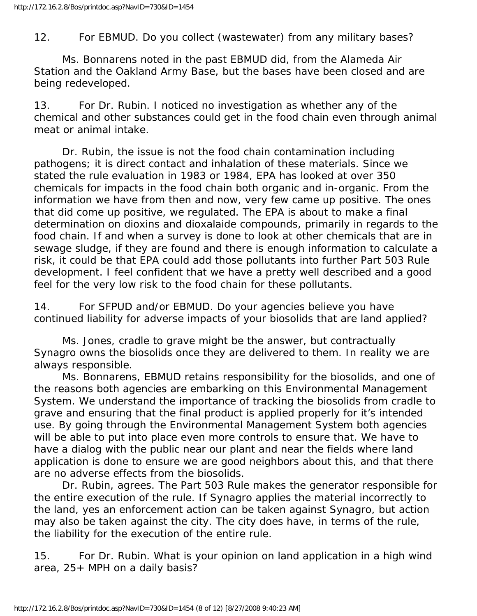### 12. For EBMUD. Do you collect (wastewater) from any military bases?

 Ms. Bonnarens noted in the past EBMUD did, from the Alameda Air Station and the Oakland Army Base, but the bases have been closed and are being redeveloped.

13. For Dr. Rubin. I noticed no investigation as whether any of the chemical and other substances could get in the food chain even through animal meat or animal intake.

 Dr. Rubin, the issue is not the food chain contamination including pathogens; it is direct contact and inhalation of these materials. Since we stated the rule evaluation in 1983 or 1984, EPA has looked at over 350 chemicals for impacts in the food chain both organic and in-organic. From the information we have from then and now, very few came up positive. The ones that did come up positive, we regulated. The EPA is about to make a final determination on dioxins and dioxalaide compounds, primarily in regards to the food chain. If and when a survey is done to look at other chemicals that are in sewage sludge, if they are found and there is enough information to calculate a risk, it could be that EPA could add those pollutants into further Part 503 Rule development. I feel confident that we have a pretty well described and a good feel for the very low risk to the food chain for these pollutants.

14. For SFPUD and/or EBMUD. Do your agencies believe you have continued liability for adverse impacts of your biosolids that are land applied?

 Ms. Jones, cradle to grave might be the answer, but contractually Synagro owns the biosolids once they are delivered to them. In reality we are always responsible.

 Ms. Bonnarens, EBMUD retains responsibility for the biosolids, and one of the reasons both agencies are embarking on this Environmental Management System. We understand the importance of tracking the biosolids from cradle to grave and ensuring that the final product is applied properly for it's intended use. By going through the Environmental Management System both agencies will be able to put into place even more controls to ensure that. We have to have a dialog with the public near our plant and near the fields where land application is done to ensure we are good neighbors about this, and that there are no adverse effects from the biosolids.

 Dr. Rubin, agrees. The Part 503 Rule makes the generator responsible for the entire execution of the rule. If Synagro applies the material incorrectly to the land, yes an enforcement action can be taken against Synagro, but action may also be taken against the city. The city does have, in terms of the rule, the liability for the execution of the entire rule.

15. For Dr. Rubin. What is your opinion on land application in a high wind area, 25+ MPH on a daily basis?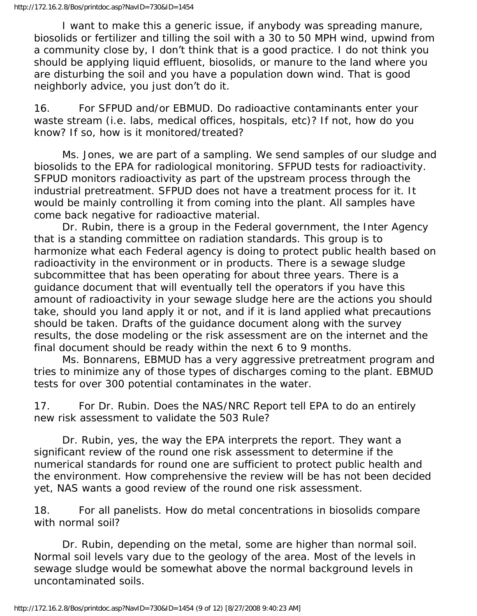I want to make this a generic issue, if anybody was spreading manure, biosolids or fertilizer and tilling the soil with a 30 to 50 MPH wind, upwind from a community close by, I don't think that is a good practice. I do not think you should be applying liquid effluent, biosolids, or manure to the land where you are disturbing the soil and you have a population down wind. That is good neighborly advice, you just don't do it.

16. For SFPUD and/or EBMUD. Do radioactive contaminants enter your waste stream (i.e. labs, medical offices, hospitals, etc)? If not, how do you know? If so, how is it monitored/treated?

 Ms. Jones, we are part of a sampling. We send samples of our sludge and biosolids to the EPA for radiological monitoring. SFPUD tests for radioactivity. SFPUD monitors radioactivity as part of the upstream process through the industrial pretreatment. SFPUD does not have a treatment process for it. It would be mainly controlling it from coming into the plant. All samples have come back negative for radioactive material.

 Dr. Rubin, there is a group in the Federal government, the Inter Agency that is a standing committee on radiation standards. This group is to harmonize what each Federal agency is doing to protect public health based on radioactivity in the environment or in products. There is a sewage sludge subcommittee that has been operating for about three years. There is a guidance document that will eventually tell the operators if you have this amount of radioactivity in your sewage sludge here are the actions you should take, should you land apply it or not, and if it is land applied what precautions should be taken. Drafts of the guidance document along with the survey results, the dose modeling or the risk assessment are on the internet and the final document should be ready within the next 6 to 9 months.

 Ms. Bonnarens, EBMUD has a very aggressive pretreatment program and tries to minimize any of those types of discharges coming to the plant. EBMUD tests for over 300 potential contaminates in the water.

17. For Dr. Rubin. Does the NAS/NRC Report tell EPA to do an entirely new risk assessment to validate the 503 Rule?

 Dr. Rubin, yes, the way the EPA interprets the report. They want a significant review of the round one risk assessment to determine if the numerical standards for round one are sufficient to protect public health and the environment. How comprehensive the review will be has not been decided yet, NAS wants a good review of the round one risk assessment.

18. For all panelists. How do metal concentrations in biosolids compare with normal soil?

 Dr. Rubin, depending on the metal, some are higher than normal soil. Normal soil levels vary due to the geology of the area. Most of the levels in sewage sludge would be somewhat above the normal background levels in uncontaminated soils.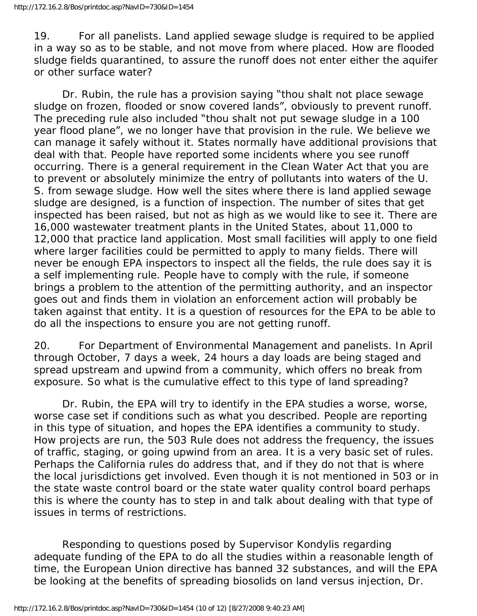19. For all panelists. Land applied sewage sludge is required to be applied in a way so as to be stable, and not move from where placed. How are flooded sludge fields quarantined, to assure the runoff does not enter either the aquifer or other surface water?

 Dr. Rubin, the rule has a provision saying "thou shalt not place sewage sludge on frozen, flooded or snow covered lands", obviously to prevent runoff. The preceding rule also included "thou shalt not put sewage sludge in a 100 year flood plane", we no longer have that provision in the rule. We believe we can manage it safely without it. States normally have additional provisions that deal with that. People have reported some incidents where you see runoff occurring. There is a general requirement in the Clean Water Act that you are to prevent or absolutely minimize the entry of pollutants into waters of the U. S. from sewage sludge. How well the sites where there is land applied sewage sludge are designed, is a function of inspection. The number of sites that get inspected has been raised, but not as high as we would like to see it. There are 16,000 wastewater treatment plants in the United States, about 11,000 to 12,000 that practice land application. Most small facilities will apply to one field where larger facilities could be permitted to apply to many fields. There will never be enough EPA inspectors to inspect all the fields, the rule does say it is a self implementing rule. People have to comply with the rule, if someone brings a problem to the attention of the permitting authority, and an inspector goes out and finds them in violation an enforcement action will probably be taken against that entity. It is a question of resources for the EPA to be able to do all the inspections to ensure you are not getting runoff.

20. For Department of Environmental Management and panelists. In April through October, 7 days a week, 24 hours a day loads are being staged and spread upstream and upwind from a community, which offers no break from exposure. So what is the cumulative effect to this type of land spreading?

 Dr. Rubin, the EPA will try to identify in the EPA studies a worse, worse, worse case set if conditions such as what you described. People are reporting in this type of situation, and hopes the EPA identifies a community to study. How projects are run, the 503 Rule does not address the frequency, the issues of traffic, staging, or going upwind from an area. It is a very basic set of rules. Perhaps the California rules do address that, and if they do not that is where the local jurisdictions get involved. Even though it is not mentioned in 503 or in the state waste control board or the state water quality control board perhaps this is where the county has to step in and talk about dealing with that type of issues in terms of restrictions.

 Responding to questions posed by Supervisor Kondylis regarding adequate funding of the EPA to do all the studies within a reasonable length of time, the European Union directive has banned 32 substances, and will the EPA be looking at the benefits of spreading biosolids on land versus injection, Dr.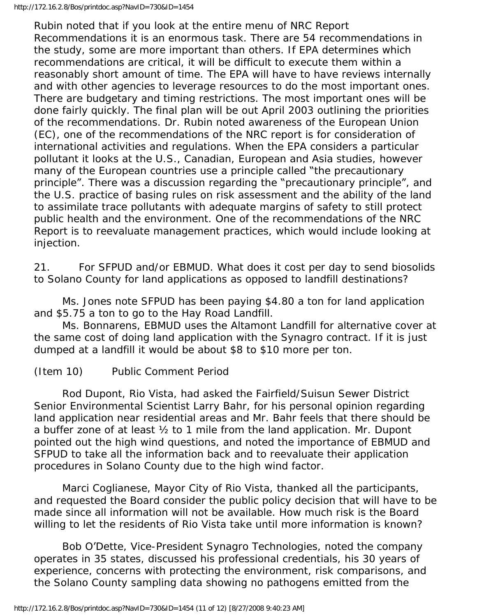Rubin noted that if you look at the entire menu of NRC Report Recommendations it is an enormous task. There are 54 recommendations in the study, some are more important than others. If EPA determines which recommendations are critical, it will be difficult to execute them within a reasonably short amount of time. The EPA will have to have reviews internally and with other agencies to leverage resources to do the most important ones. There are budgetary and timing restrictions. The most important ones will be done fairly quickly. The final plan will be out April 2003 outlining the priorities of the recommendations. Dr. Rubin noted awareness of the European Union (EC), one of the recommendations of the NRC report is for consideration of international activities and regulations. When the EPA considers a particular pollutant it looks at the U.S., Canadian, European and Asia studies, however many of the European countries use a principle called "the precautionary principle". There was a discussion regarding the "precautionary principle", and the U.S. practice of basing rules on risk assessment and the ability of the land to assimilate trace pollutants with adequate margins of safety to still protect public health and the environment. One of the recommendations of the NRC Report is to reevaluate management practices, which would include looking at injection.

21. For SFPUD and/or EBMUD. What does it cost per day to send biosolids to Solano County for land applications as opposed to landfill destinations?

 Ms. Jones note SFPUD has been paying \$4.80 a ton for land application and \$5.75 a ton to go to the Hay Road Landfill.

 Ms. Bonnarens, EBMUD uses the Altamont Landfill for alternative cover at the same cost of doing land application with the Synagro contract. If it is just dumped at a landfill it would be about \$8 to \$10 more per ton.

## (Item 10) Public Comment Period

 Rod Dupont, Rio Vista, had asked the Fairfield/Suisun Sewer District Senior Environmental Scientist Larry Bahr, for his personal opinion regarding land application near residential areas and Mr. Bahr feels that there should be a buffer zone of at least ½ to 1 mile from the land application. Mr. Dupont pointed out the high wind questions, and noted the importance of EBMUD and SFPUD to take all the information back and to reevaluate their application procedures in Solano County due to the high wind factor.

 Marci Coglianese, Mayor City of Rio Vista, thanked all the participants, and requested the Board consider the public policy decision that will have to be made since all information will not be available. How much risk is the Board willing to let the residents of Rio Vista take until more information is known?

 Bob O'Dette, Vice-President Synagro Technologies, noted the company operates in 35 states, discussed his professional credentials, his 30 years of experience, concerns with protecting the environment, risk comparisons, and the Solano County sampling data showing no pathogens emitted from the